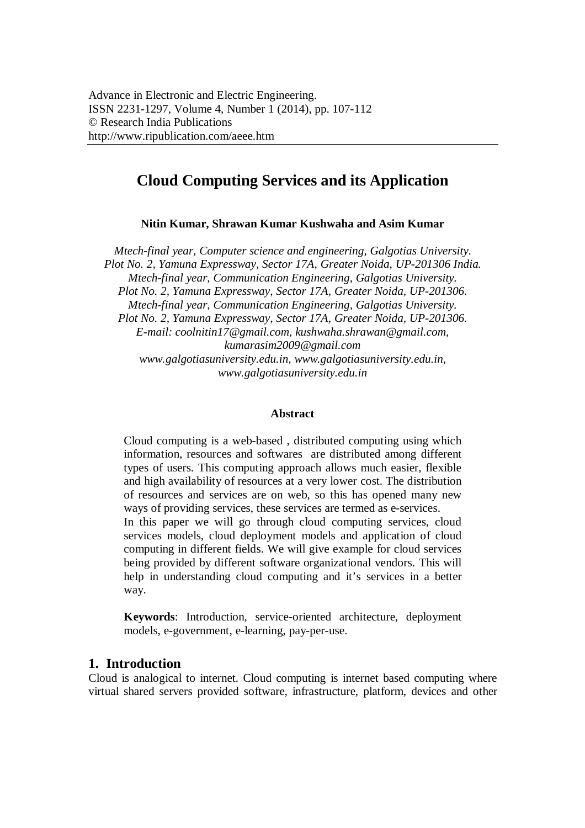# **Cloud Computing Services and its Application**

**Nitin Kumar, Shrawan Kumar Kushwaha and Asim Kumar**

*Mtech-final year, Computer science and engineering, Galgotias University. Plot No. 2, Yamuna Expressway, Sector 17A, Greater Noida, UP-201306 India. Mtech-final year, Communication Engineering, Galgotias University. Plot No. 2, Yamuna Expressway, Sector 17A, Greater Noida, UP-201306. Mtech-final year, Communication Engineering, Galgotias University. Plot No. 2, Yamuna Expressway, Sector 17A, Greater Noida, UP-201306. E-mail: coolnitin17@gmail.com, kushwaha.shrawan@gmail.com, kumarasim2009@gmail.com www.galgotiasuniversity.edu.in, www.galgotiasuniversity.edu.in, www.galgotiasuniversity.edu.in*

#### **Abstract**

Cloud computing is a web-based , distributed computing using which information, resources and softwares are distributed among different types of users. This computing approach allows much easier, flexible and high availability of resources at a very lower cost. The distribution of resources and services are on web, so this has opened many new ways of providing services, these services are termed as e-services.

In this paper we will go through cloud computing services, cloud services models, cloud deployment models and application of cloud computing in different fields. We will give example for cloud services being provided by different software organizational vendors. This will help in understanding cloud computing and it's services in a better way.

**Keywords**: Introduction, service-oriented architecture, deployment models, e-government, e-learning, pay-per-use.

## **1. Introduction**

Cloud is analogical to internet. Cloud computing is internet based computing where virtual shared servers provided software, infrastructure, platform, devices and other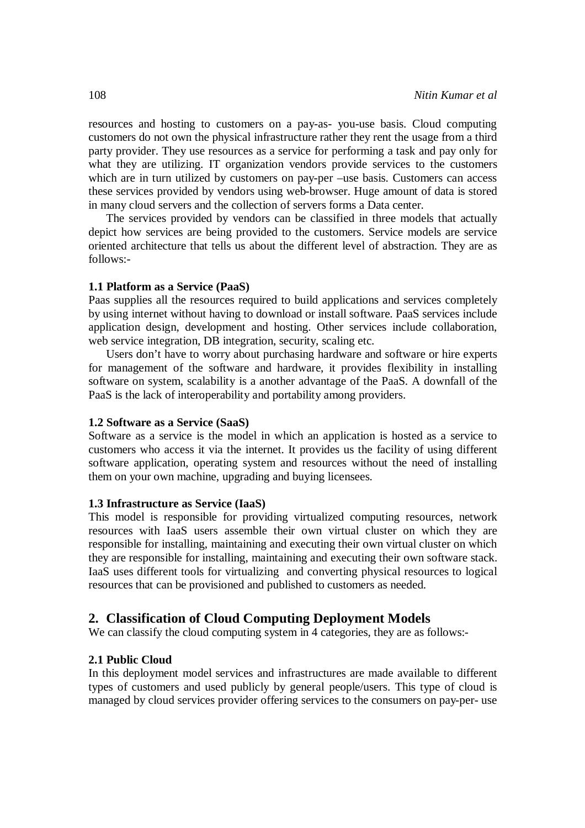resources and hosting to customers on a pay-as- you-use basis. Cloud computing customers do not own the physical infrastructure rather they rent the usage from a third party provider. They use resources as a service for performing a task and pay only for what they are utilizing. IT organization vendors provide services to the customers which are in turn utilized by customers on pay-per –use basis. Customers can access these services provided by vendors using web-browser. Huge amount of data is stored in many cloud servers and the collection of servers forms a Data center.

The services provided by vendors can be classified in three models that actually depict how services are being provided to the customers. Service models are service oriented architecture that tells us about the different level of abstraction. They are as follows:-

#### **1.1 Platform as a Service (PaaS)**

Paas supplies all the resources required to build applications and services completely by using internet without having to download or install software. PaaS services include application design, development and hosting. Other services include collaboration, web service integration, DB integration, security, scaling etc.

Users don't have to worry about purchasing hardware and software or hire experts for management of the software and hardware, it provides flexibility in installing software on system, scalability is a another advantage of the PaaS. A downfall of the PaaS is the lack of interoperability and portability among providers.

#### **1.2 Software as a Service (SaaS)**

Software as a service is the model in which an application is hosted as a service to customers who access it via the internet. It provides us the facility of using different software application, operating system and resources without the need of installing them on your own machine, upgrading and buying licensees.

#### **1.3 Infrastructure as Service (IaaS)**

This model is responsible for providing virtualized computing resources, network resources with IaaS users assemble their own virtual cluster on which they are responsible for installing, maintaining and executing their own virtual cluster on which they are responsible for installing, maintaining and executing their own software stack. IaaS uses different tools for virtualizing and converting physical resources to logical resources that can be provisioned and published to customers as needed.

#### **2. Classification of Cloud Computing Deployment Models**

We can classify the cloud computing system in 4 categories, they are as follows:-

#### **2.1 Public Cloud**

In this deployment model services and infrastructures are made available to different types of customers and used publicly by general people/users. This type of cloud is managed by cloud services provider offering services to the consumers on pay-per- use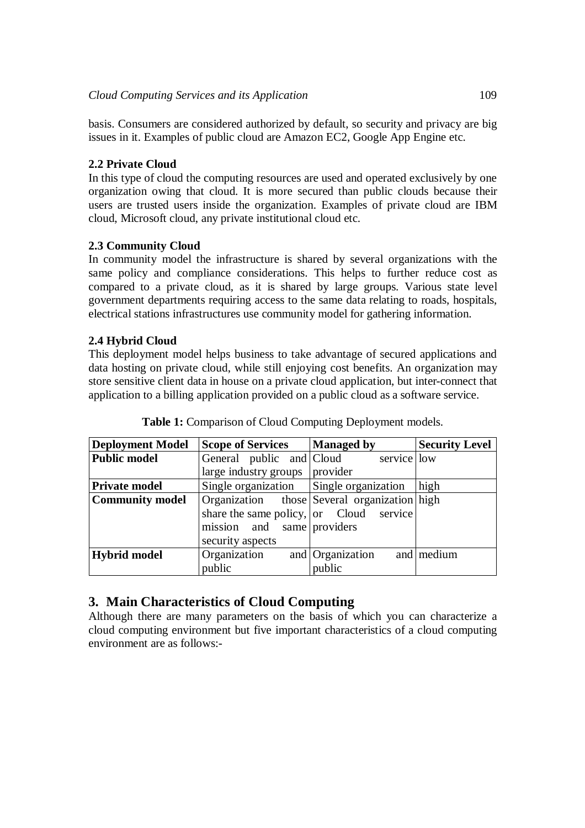basis. Consumers are considered authorized by default, so security and privacy are big issues in it. Examples of public cloud are Amazon EC2, Google App Engine etc.

## **2.2 Private Cloud**

In this type of cloud the computing resources are used and operated exclusively by one organization owing that cloud. It is more secured than public clouds because their users are trusted users inside the organization. Examples of private cloud are IBM cloud, Microsoft cloud, any private institutional cloud etc.

## **2.3 Community Cloud**

In community model the infrastructure is shared by several organizations with the same policy and compliance considerations. This helps to further reduce cost as compared to a private cloud, as it is shared by large groups. Various state level government departments requiring access to the same data relating to roads, hospitals, electrical stations infrastructures use community model for gathering information.

## **2.4 Hybrid Cloud**

This deployment model helps business to take advantage of secured applications and data hosting on private cloud, while still enjoying cost benefits. An organization may store sensitive client data in house on a private cloud application, but inter-connect that application to a billing application provided on a public cloud as a software service.

| Deployment Model       | <b>Scope of Services</b>                     | <b>Managed by</b>   | <b>Security Level</b> |
|------------------------|----------------------------------------------|---------------------|-----------------------|
| <b>Public model</b>    | General public and Cloud                     | service low         |                       |
|                        | large industry groups   provider             |                     |                       |
| <b>Private model</b>   | Single organization                          | Single organization | high                  |
| <b>Community model</b> | Organization those Several organization high |                     |                       |
|                        | share the same policy, or Cloud service      |                     |                       |
|                        | mission and same providers                   |                     |                       |
|                        | security aspects                             |                     |                       |
| <b>Hybrid model</b>    | Organization                                 | and Organization    | and medium            |
|                        | public                                       | public              |                       |

**Table 1:** Comparison of Cloud Computing Deployment models.

# **3. Main Characteristics of Cloud Computing**

Although there are many parameters on the basis of which you can characterize a cloud computing environment but five important characteristics of a cloud computing environment are as follows:-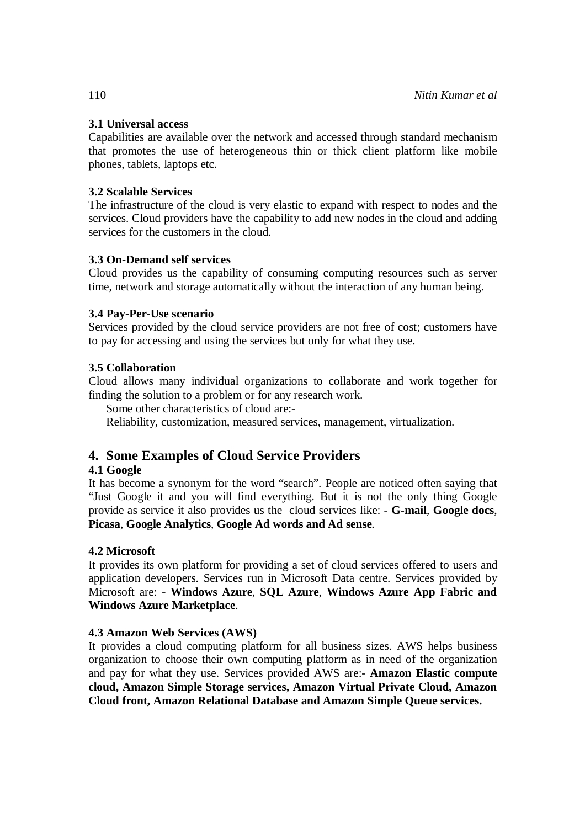#### **3.1 Universal access**

Capabilities are available over the network and accessed through standard mechanism that promotes the use of heterogeneous thin or thick client platform like mobile phones, tablets, laptops etc.

#### **3.2 Scalable Services**

The infrastructure of the cloud is very elastic to expand with respect to nodes and the services. Cloud providers have the capability to add new nodes in the cloud and adding services for the customers in the cloud.

#### **3.3 On-Demand self services**

Cloud provides us the capability of consuming computing resources such as server time, network and storage automatically without the interaction of any human being.

#### **3.4 Pay-Per-Use scenario**

Services provided by the cloud service providers are not free of cost; customers have to pay for accessing and using the services but only for what they use.

#### **3.5 Collaboration**

Cloud allows many individual organizations to collaborate and work together for finding the solution to a problem or for any research work.

Some other characteristics of cloud are:-

Reliability, customization, measured services, management, virtualization.

# **4. Some Examples of Cloud Service Providers**

## **4.1 Google**

It has become a synonym for the word "search". People are noticed often saying that "Just Google it and you will find everything. But it is not the only thing Google provide as service it also provides us the cloud services like: - **G-mail**, **Google docs**, **Picasa**, **Google Analytics**, **Google Ad words and Ad sense**.

## **4.2 Microsoft**

It provides its own platform for providing a set of cloud services offered to users and application developers. Services run in Microsoft Data centre. Services provided by Microsoft are: - **Windows Azure**, **SQL Azure**, **Windows Azure App Fabric and Windows Azure Marketplace**.

## **4.3 Amazon Web Services (AWS)**

It provides a cloud computing platform for all business sizes. AWS helps business organization to choose their own computing platform as in need of the organization and pay for what they use. Services provided AWS are:- **Amazon Elastic compute cloud, Amazon Simple Storage services, Amazon Virtual Private Cloud, Amazon Cloud front, Amazon Relational Database and Amazon Simple Queue services.**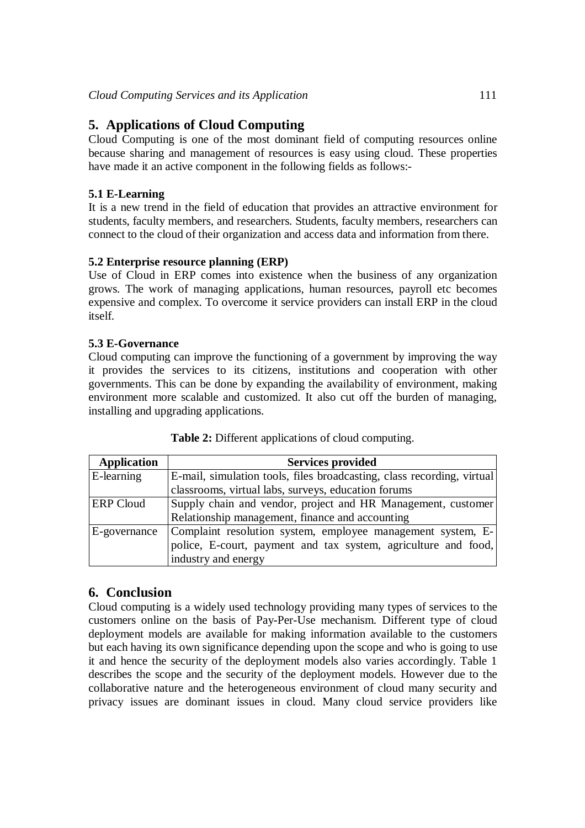# **5. Applications of Cloud Computing**

Cloud Computing is one of the most dominant field of computing resources online because sharing and management of resources is easy using cloud. These properties have made it an active component in the following fields as follows:-

## **5.1 E-Learning**

It is a new trend in the field of education that provides an attractive environment for students, faculty members, and researchers. Students, faculty members, researchers can connect to the cloud of their organization and access data and information from there.

## **5.2 Enterprise resource planning (ERP)**

Use of Cloud in ERP comes into existence when the business of any organization grows. The work of managing applications, human resources, payroll etc becomes expensive and complex. To overcome it service providers can install ERP in the cloud itself.

#### **5.3 E-Governance**

Cloud computing can improve the functioning of a government by improving the way it provides the services to its citizens, institutions and cooperation with other governments. This can be done by expanding the availability of environment, making environment more scalable and customized. It also cut off the burden of managing, installing and upgrading applications.

| <b>Application</b> | <b>Services provided</b>                                               |
|--------------------|------------------------------------------------------------------------|
| E-learning         | E-mail, simulation tools, files broadcasting, class recording, virtual |
|                    | classrooms, virtual labs, surveys, education forums                    |
| <b>ERP</b> Cloud   | Supply chain and vendor, project and HR Management, customer           |
|                    | Relationship management, finance and accounting                        |
| E-governance       | Complaint resolution system, employee management system, E-            |
|                    | police, E-court, payment and tax system, agriculture and food,         |
|                    | industry and energy                                                    |

**Table 2:** Different applications of cloud computing.

# **6. Conclusion**

Cloud computing is a widely used technology providing many types of services to the customers online on the basis of Pay-Per-Use mechanism. Different type of cloud deployment models are available for making information available to the customers but each having its own significance depending upon the scope and who is going to use it and hence the security of the deployment models also varies accordingly. Table 1 describes the scope and the security of the deployment models. However due to the collaborative nature and the heterogeneous environment of cloud many security and privacy issues are dominant issues in cloud. Many cloud service providers like